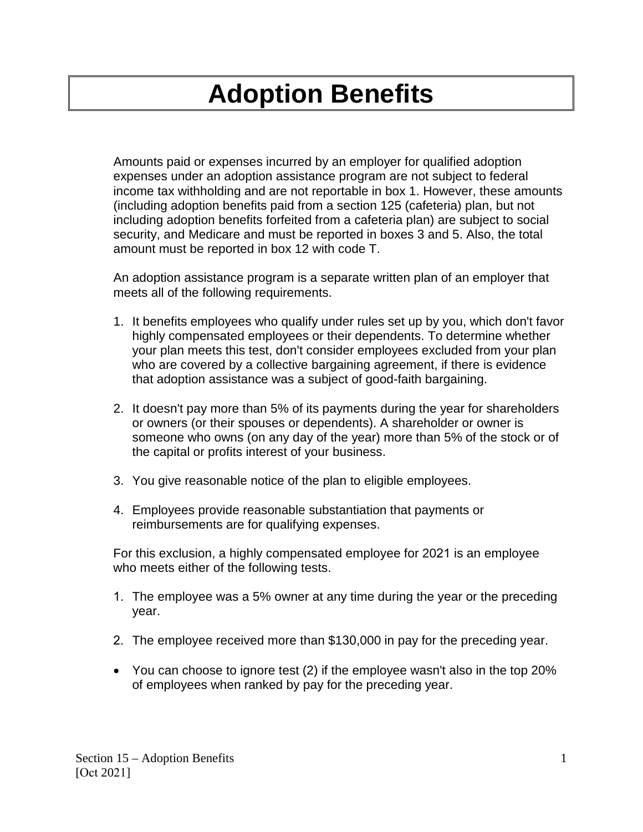## **Adoption Benefits**

Amounts paid or expenses incurred by an employer for qualified adoption expenses under an adoption assistance program are not subject to federal income tax withholding and are not reportable in box 1. However, these amounts (including adoption benefits paid from a section 125 (cafeteria) plan, but not including adoption benefits forfeited from a cafeteria plan) are subject to social security, and Medicare and must be reported in boxes 3 and 5. Also, the total amount must be reported in box 12 with code T.

An adoption assistance program is a separate written plan of an employer that meets all of the following requirements.

- 1. It benefits employees who qualify under rules set up by you, which don't favor highly compensated employees or their dependents. To determine whether your plan meets this test, don't consider employees excluded from your plan who are covered by a collective bargaining agreement, if there is evidence that adoption assistance was a subject of good-faith bargaining.
- 2. It doesn't pay more than 5% of its payments during the year for shareholders or owners (or their spouses or dependents). A shareholder or owner is someone who owns (on any day of the year) more than 5% of the stock or of the capital or profits interest of your business.
- 3. You give reasonable notice of the plan to eligible employees.
- 4. Employees provide reasonable substantiation that payments or reimbursements are for qualifying expenses.

For this exclusion, a highly compensated employee for 2021 is an employee who meets either of the following tests.

- 1. The employee was a 5% owner at any time during the year or the preceding year.
- 2. The employee received more than \$130,000 in pay for the preceding year.
- You can choose to ignore test (2) if the employee wasn't also in the top 20% of employees when ranked by pay for the preceding year.